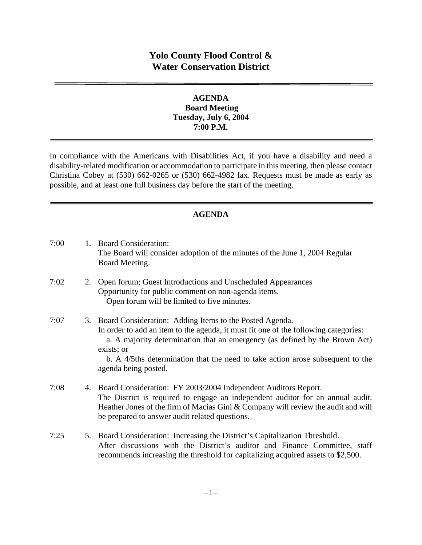# **Yolo County Flood Control & Water Conservation District**

#### **AGENDA Board Meeting Tuesday, July 6, 2004 7:00 P.M.**

In compliance with the Americans with Disabilities Act, if you have a disability and need a disability-related modification or accommodation to participate in this meeting, then please contact Christina Cobey at (530) 662-0265 or (530) 662-4982 fax. Requests must be made as early as possible, and at least one full business day before the start of the meeting.

### **AGENDA**

| 7:00 | 1. Board Consideration:<br>The Board will consider adoption of the minutes of the June 1, 2004 Regular<br>Board Meeting.                                                                                                                                                                                                                                 |
|------|----------------------------------------------------------------------------------------------------------------------------------------------------------------------------------------------------------------------------------------------------------------------------------------------------------------------------------------------------------|
| 7:02 | 2. Open forum; Guest Introductions and Unscheduled Appearances<br>Opportunity for public comment on non-agenda items.<br>Open forum will be limited to five minutes.                                                                                                                                                                                     |
| 7:07 | 3. Board Consideration: Adding Items to the Posted Agenda.<br>In order to add an item to the agenda, it must fit one of the following categories:<br>a. A majority determination that an emergency (as defined by the Brown Act)<br>exists; or<br>b. A 4/5ths determination that the need to take action arose subsequent to the<br>agenda being posted. |
| 7:08 | 4. Board Consideration: FY 2003/2004 Independent Auditors Report.<br>The District is required to engage an independent auditor for an annual audit.<br>Heather Jones of the firm of Macias Gini & Company will review the audit and will<br>be prepared to answer audit related questions.                                                               |
| 7:25 | 5. Board Consideration: Increasing the District's Capitalization Threshold.<br>After discussions with the District's auditor and Finance Committee, staff<br>recommends increasing the threshold for capitalizing acquired assets to \$2,500.                                                                                                            |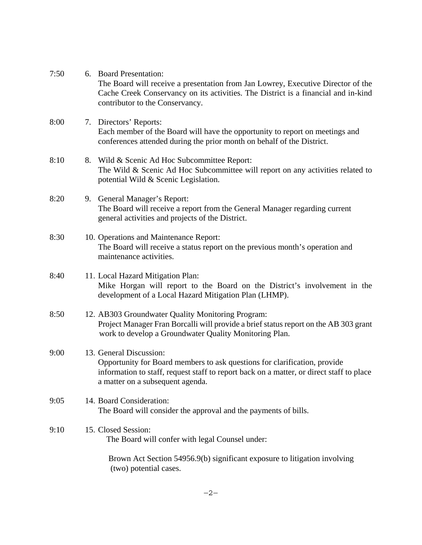| 7:50 | 6. Board Presentation:<br>The Board will receive a presentation from Jan Lowrey, Executive Director of the<br>Cache Creek Conservancy on its activities. The District is a financial and in-kind<br>contributor to the Conservancy.  |
|------|--------------------------------------------------------------------------------------------------------------------------------------------------------------------------------------------------------------------------------------|
| 8:00 | 7. Directors' Reports:<br>Each member of the Board will have the opportunity to report on meetings and<br>conferences attended during the prior month on behalf of the District.                                                     |
| 8:10 | 8. Wild & Scenic Ad Hoc Subcommittee Report:<br>The Wild & Scenic Ad Hoc Subcommittee will report on any activities related to<br>potential Wild & Scenic Legislation.                                                               |
| 8:20 | 9. General Manager's Report:<br>The Board will receive a report from the General Manager regarding current<br>general activities and projects of the District.                                                                       |
| 8:30 | 10. Operations and Maintenance Report:<br>The Board will receive a status report on the previous month's operation and<br>maintenance activities.                                                                                    |
| 8:40 | 11. Local Hazard Mitigation Plan:<br>Mike Horgan will report to the Board on the District's involvement in the<br>development of a Local Hazard Mitigation Plan (LHMP).                                                              |
| 8:50 | 12. AB303 Groundwater Quality Monitoring Program:<br>Project Manager Fran Borcalli will provide a brief status report on the AB 303 grant<br>work to develop a Groundwater Quality Monitoring Plan.                                  |
| 9:00 | 13. General Discussion:<br>Opportunity for Board members to ask questions for clarification, provide<br>information to staff, request staff to report back on a matter, or direct staff to place<br>a matter on a subsequent agenda. |
| 9:05 | 14. Board Consideration:<br>The Board will consider the approval and the payments of bills.                                                                                                                                          |
| 9:10 | 15. Closed Session:<br>The Board will confer with legal Counsel under:                                                                                                                                                               |
|      | Brown Act Section 54956.9(b) significant exposure to litigation involving<br>(two) potential cases.                                                                                                                                  |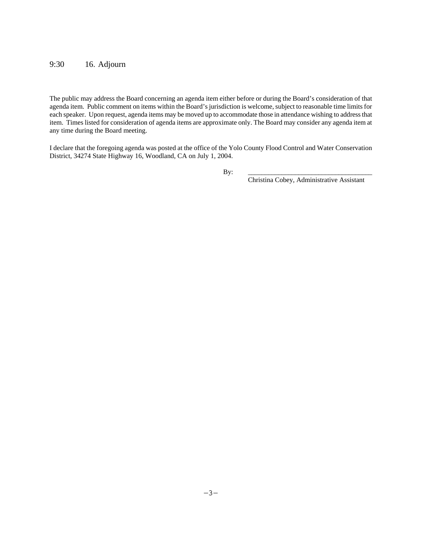#### 9:30 16. Adjourn

The public may address the Board concerning an agenda item either before or during the Board's consideration of that agenda item. Public comment on items within the Board's jurisdiction is welcome, subject to reasonable time limits for each speaker. Upon request, agenda items may be moved up to accommodate those in attendance wishing to address that item. Times listed for consideration of agenda items are approximate only. The Board may consider any agenda item at any time during the Board meeting.

I declare that the foregoing agenda was posted at the office of the Yolo County Flood Control and Water Conservation District, 34274 State Highway 16, Woodland, CA on July 1, 2004.

By: \_\_\_\_\_\_\_\_\_\_\_\_\_\_\_\_\_\_\_\_\_\_\_\_\_\_\_\_\_\_\_\_\_\_\_\_\_

Christina Cobey, Administrative Assistant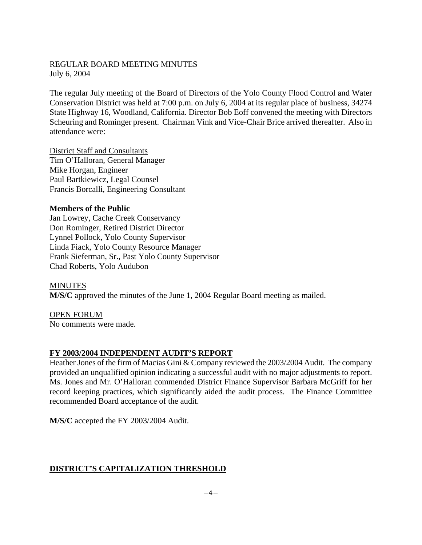#### REGULAR BOARD MEETING MINUTES July 6, 2004

The regular July meeting of the Board of Directors of the Yolo County Flood Control and Water Conservation District was held at 7:00 p.m. on July 6, 2004 at its regular place of business, 34274 State Highway 16, Woodland, California. Director Bob Eoff convened the meeting with Directors Scheuring and Rominger present. Chairman Vink and Vice-Chair Brice arrived thereafter. Also in attendance were:

District Staff and Consultants Tim O'Halloran, General Manager Mike Horgan, Engineer Paul Bartkiewicz, Legal Counsel Francis Borcalli, Engineering Consultant

#### **Members of the Public**

Jan Lowrey, Cache Creek Conservancy Don Rominger, Retired District Director Lynnel Pollock, Yolo County Supervisor Linda Fiack, Yolo County Resource Manager Frank Sieferman, Sr., Past Yolo County Supervisor Chad Roberts, Yolo Audubon

**MINUTES M/S/C** approved the minutes of the June 1, 2004 Regular Board meeting as mailed.

OPEN FORUM No comments were made.

#### **FY 2003/2004 INDEPENDENT AUDIT'S REPORT**

Heather Jones of the firm of Macias Gini & Company reviewed the 2003/2004 Audit. The company provided an unqualified opinion indicating a successful audit with no major adjustments to report. Ms. Jones and Mr. O'Halloran commended District Finance Supervisor Barbara McGriff for her record keeping practices, which significantly aided the audit process. The Finance Committee recommended Board acceptance of the audit.

**M/S/C** accepted the FY 2003/2004 Audit.

# **DISTRICT'S CAPITALIZATION THRESHOLD**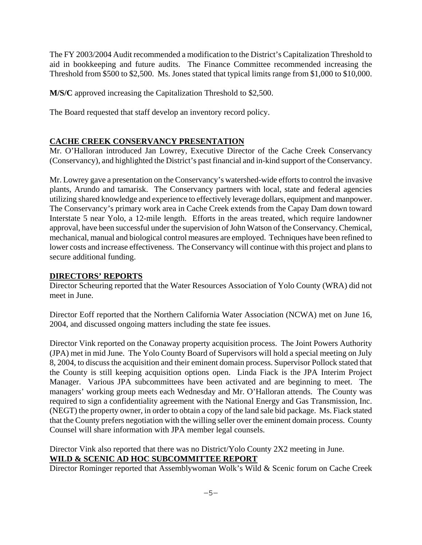The FY 2003/2004 Audit recommended a modification to the District's Capitalization Threshold to aid in bookkeeping and future audits. The Finance Committee recommended increasing the Threshold from \$500 to \$2,500. Ms. Jones stated that typical limits range from \$1,000 to \$10,000.

**M/S/C** approved increasing the Capitalization Threshold to \$2,500.

The Board requested that staff develop an inventory record policy.

### **CACHE CREEK CONSERVANCY PRESENTATION**

Mr. O'Halloran introduced Jan Lowrey, Executive Director of the Cache Creek Conservancy (Conservancy), and highlighted the District's past financial and in-kind support of the Conservancy.

Mr. Lowrey gave a presentation on the Conservancy's watershed-wide efforts to control the invasive plants, Arundo and tamarisk. The Conservancy partners with local, state and federal agencies utilizing shared knowledge and experience to effectively leverage dollars, equipment and manpower. The Conservancy's primary work area in Cache Creek extends from the Capay Dam down toward Interstate 5 near Yolo, a 12-mile length. Efforts in the areas treated, which require landowner approval, have been successful under the supervision of John Watson of the Conservancy. Chemical, mechanical, manual and biological control measures are employed. Techniques have been refined to lower costs and increase effectiveness. The Conservancy will continue with this project and plans to secure additional funding.

#### **DIRECTORS' REPORTS**

Director Scheuring reported that the Water Resources Association of Yolo County (WRA) did not meet in June.

Director Eoff reported that the Northern California Water Association (NCWA) met on June 16, 2004, and discussed ongoing matters including the state fee issues.

Director Vink reported on the Conaway property acquisition process. The Joint Powers Authority (JPA) met in mid June. The Yolo County Board of Supervisors will hold a special meeting on July 8, 2004, to discuss the acquisition and their eminent domain process. Supervisor Pollock stated that the County is still keeping acquisition options open. Linda Fiack is the JPA Interim Project Manager. Various JPA subcommittees have been activated and are beginning to meet. The managers' working group meets each Wednesday and Mr. O'Halloran attends. The County was required to sign a confidentiality agreement with the National Energy and Gas Transmission, Inc. (NEGT) the property owner, in order to obtain a copy of the land sale bid package. Ms. Fiack stated that the County prefers negotiation with the willing seller over the eminent domain process. County Counsel will share information with JPA member legal counsels.

Director Vink also reported that there was no District/Yolo County 2X2 meeting in June. **WILD & SCENIC AD HOC SUBCOMMITTEE REPORT**

Director Rominger reported that Assemblywoman Wolk's Wild & Scenic forum on Cache Creek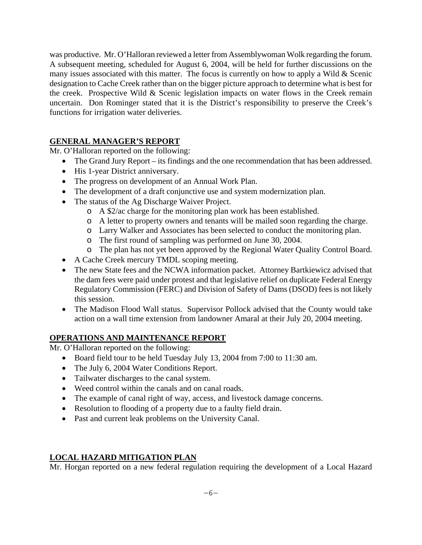was productive. Mr. O'Halloran reviewed a letter from Assemblywoman Wolk regarding the forum. A subsequent meeting, scheduled for August 6, 2004, will be held for further discussions on the many issues associated with this matter. The focus is currently on how to apply a Wild  $\&$  Scenic designation to Cache Creek rather than on the bigger picture approach to determine what is best for the creek. Prospective Wild & Scenic legislation impacts on water flows in the Creek remain uncertain. Don Rominger stated that it is the District's responsibility to preserve the Creek's functions for irrigation water deliveries.

# **GENERAL MANAGER'S REPORT**

Mr. O'Halloran reported on the following:

- The Grand Jury Report its findings and the one recommendation that has been addressed.
- His 1-year District anniversary.
- The progress on development of an Annual Work Plan.
- The development of a draft conjunctive use and system modernization plan.
- The status of the Ag Discharge Waiver Project.
	- o A \$2/ac charge for the monitoring plan work has been established.
	- o A letter to property owners and tenants will be mailed soon regarding the charge.
	- o Larry Walker and Associates has been selected to conduct the monitoring plan.
	- o The first round of sampling was performed on June 30, 2004.
	- o The plan has not yet been approved by the Regional Water Quality Control Board.
- A Cache Creek mercury TMDL scoping meeting.
- The new State fees and the NCWA information packet. Attorney Bartkiewicz advised that the dam fees were paid under protest and that legislative relief on duplicate Federal Energy Regulatory Commission (FERC) and Division of Safety of Dams (DSOD) fees is not likely this session.
- The Madison Flood Wall status. Supervisor Pollock advised that the County would take action on a wall time extension from landowner Amaral at their July 20, 2004 meeting.

# **OPERATIONS AND MAINTENANCE REPORT**

Mr. O'Halloran reported on the following:

- Board field tour to be held Tuesday July 13, 2004 from 7:00 to 11:30 am.
- The July 6, 2004 Water Conditions Report.
- Tailwater discharges to the canal system.
- Weed control within the canals and on canal roads.
- The example of canal right of way, access, and livestock damage concerns.
- Resolution to flooding of a property due to a faulty field drain.
- Past and current leak problems on the University Canal.

# **LOCAL HAZARD MITIGATION PLAN**

Mr. Horgan reported on a new federal regulation requiring the development of a Local Hazard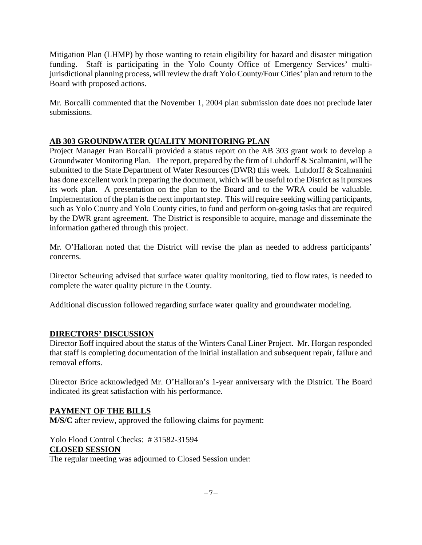Mitigation Plan (LHMP) by those wanting to retain eligibility for hazard and disaster mitigation funding. Staff is participating in the Yolo County Office of Emergency Services' multijurisdictional planning process, will review the draft Yolo County/Four Cities' plan and return to the Board with proposed actions.

Mr. Borcalli commented that the November 1, 2004 plan submission date does not preclude later submissions.

# **AB 303 GROUNDWATER QUALITY MONITORING PLAN**

Project Manager Fran Borcalli provided a status report on the AB 303 grant work to develop a Groundwater Monitoring Plan. The report, prepared by the firm of Luhdorff & Scalmanini, will be submitted to the State Department of Water Resources (DWR) this week. Luhdorff & Scalmanini has done excellent work in preparing the document, which will be useful to the District as it pursues its work plan. A presentation on the plan to the Board and to the WRA could be valuable. Implementation of the plan is the next important step. This will require seeking willing participants, such as Yolo County and Yolo County cities, to fund and perform on-going tasks that are required by the DWR grant agreement. The District is responsible to acquire, manage and disseminate the information gathered through this project.

Mr. O'Halloran noted that the District will revise the plan as needed to address participants' concerns.

Director Scheuring advised that surface water quality monitoring, tied to flow rates, is needed to complete the water quality picture in the County.

Additional discussion followed regarding surface water quality and groundwater modeling.

# **DIRECTORS' DISCUSSION**

Director Eoff inquired about the status of the Winters Canal Liner Project. Mr. Horgan responded that staff is completing documentation of the initial installation and subsequent repair, failure and removal efforts.

Director Brice acknowledged Mr. O'Halloran's 1-year anniversary with the District. The Board indicated its great satisfaction with his performance.

# **PAYMENT OF THE BILLS**

**M/S/C** after review, approved the following claims for payment:

Yolo Flood Control Checks: # 31582-31594 **CLOSED SESSION** The regular meeting was adjourned to Closed Session under: